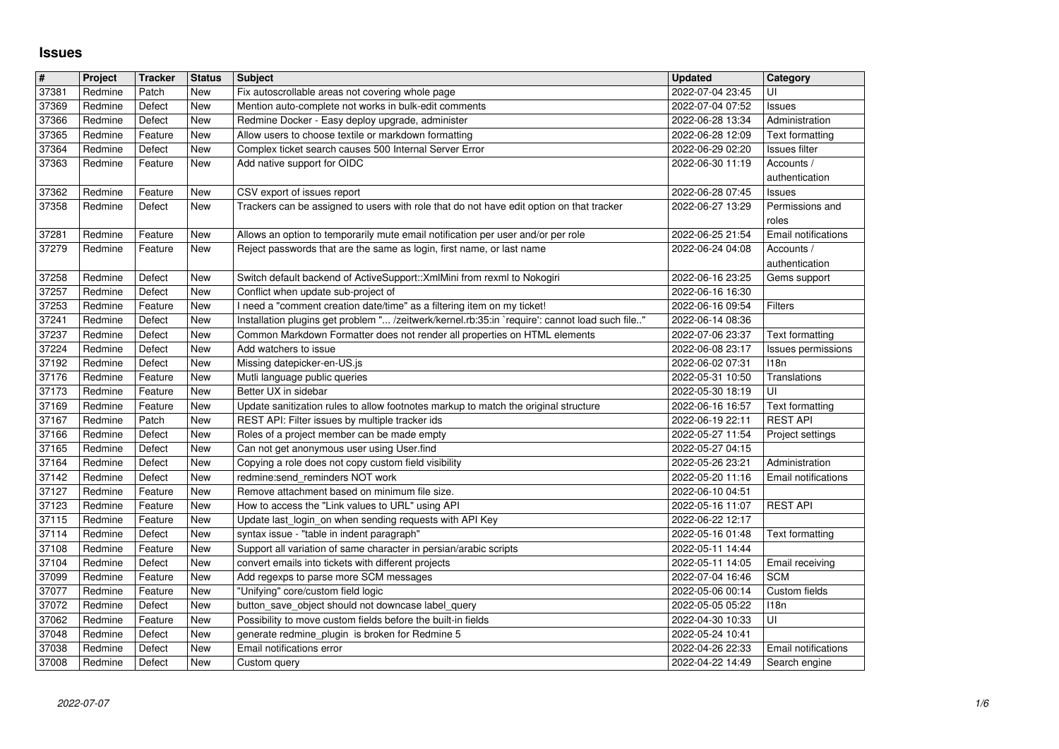## **Issues**

| $\#$           | Project            | <b>Tracker</b>     | <b>Status</b>            | <b>Subject</b>                                                                                                                                                              | <b>Updated</b>                       | Category                     |
|----------------|--------------------|--------------------|--------------------------|-----------------------------------------------------------------------------------------------------------------------------------------------------------------------------|--------------------------------------|------------------------------|
| 37381          | Redmine            | Patch              | New                      | Fix autoscrollable areas not covering whole page                                                                                                                            | 2022-07-04 23:45                     | UI                           |
| 37369<br>37366 | Redmine<br>Redmine | Defect<br>Defect   | New<br><b>New</b>        | Mention auto-complete not works in bulk-edit comments<br>Redmine Docker - Easy deploy upgrade, administer                                                                   | 2022-07-04 07:52<br>2022-06-28 13:34 | Issues<br>Administration     |
| 37365          | Redmine            | Feature            | New                      | Allow users to choose textile or markdown formatting                                                                                                                        | 2022-06-28 12:09                     | Text formatting              |
| 37364          | Redmine            | Defect             | New                      | Complex ticket search causes 500 Internal Server Error                                                                                                                      | 2022-06-29 02:20                     | Issues filter                |
| 37363          | Redmine            | Feature            | New                      | Add native support for OIDC                                                                                                                                                 | 2022-06-30 11:19                     | Accounts /                   |
| 37362          | Redmine            | Feature            | <b>New</b>               | CSV export of issues report                                                                                                                                                 | 2022-06-28 07:45                     | authentication<br>Issues     |
| 37358          | Redmine            | Defect             | New                      | Trackers can be assigned to users with role that do not have edit option on that tracker                                                                                    | 2022-06-27 13:29                     | Permissions and              |
|                |                    |                    |                          |                                                                                                                                                                             |                                      | roles                        |
| 37281          | Redmine            | Feature            | <b>New</b>               | Allows an option to temporarily mute email notification per user and/or per role                                                                                            | 2022-06-25 21:54                     | Email notifications          |
| 37279          | Redmine            | Feature            | New                      | Reject passwords that are the same as login, first name, or last name                                                                                                       | 2022-06-24 04:08                     | Accounts /<br>authentication |
| 37258          | Redmine            | Defect             | <b>New</b>               | Switch default backend of ActiveSupport:: XmlMini from rexml to Nokogiri                                                                                                    | 2022-06-16 23:25                     | Gems support                 |
| 37257          | Redmine            | Defect             | <b>New</b>               | Conflict when update sub-project of                                                                                                                                         | 2022-06-16 16:30                     |                              |
| 37253          | Redmine            | Feature            | <b>New</b>               | I need a "comment creation date/time" as a filtering item on my ticket!                                                                                                     | 2022-06-16 09:54                     | Filters                      |
| 37241<br>37237 | Redmine<br>Redmine | Defect<br>Defect   | <b>New</b><br>New        | Installation plugins get problem " /zeitwerk/kernel.rb:35:in `require': cannot load such file"<br>Common Markdown Formatter does not render all properties on HTML elements | 2022-06-14 08:36<br>2022-07-06 23:37 | Text formatting              |
| 37224          | Redmine            | Defect             | <b>New</b>               | Add watchers to issue                                                                                                                                                       | 2022-06-08 23:17                     | Issues permissions           |
| 37192          | Redmine            | Defect             | <b>New</b>               | Missing datepicker-en-US.js                                                                                                                                                 | 2022-06-02 07:31                     | 118n                         |
| 37176<br>37173 | Redmine<br>Redmine | Feature<br>Feature | <b>New</b><br>New        | Mutli language public queries<br>Better UX in sidebar                                                                                                                       | 2022-05-31 10:50<br>2022-05-30 18:19 | Translations<br>UI           |
| 37169          | Redmine            | Feature            | New                      | Update sanitization rules to allow footnotes markup to match the original structure                                                                                         | 2022-06-16 16:57                     | Text formatting              |
| 37167          | Redmine            | Patch              | <b>New</b>               | REST API: Filter issues by multiple tracker ids                                                                                                                             | 2022-06-19 22:11                     | <b>REST API</b>              |
| 37166<br>37165 | Redmine<br>Redmine | Defect<br>Defect   | <b>New</b><br><b>New</b> | Roles of a project member can be made empty<br>Can not get anonymous user using User.find                                                                                   | 2022-05-27 11:54<br>2022-05-27 04:15 | Project settings             |
| 37164          | Redmine            | Defect             | New                      | Copying a role does not copy custom field visibility                                                                                                                        | 2022-05-26 23:21                     | Administration               |
| 37142          | Redmine            | Defect             | <b>New</b>               | redmine:send_reminders NOT work                                                                                                                                             | 2022-05-20 11:16                     | Email notifications          |
| 37127          | Redmine            | Feature            | New                      | Remove attachment based on minimum file size.                                                                                                                               | 2022-06-10 04:51                     |                              |
| 37123<br>37115 | Redmine<br>Redmine | Feature<br>Feature | <b>New</b><br>New        | How to access the "Link values to URL" using API<br>Update last_login_on when sending requests with API Key                                                                 | 2022-05-16 11:07<br>2022-06-22 12:17 | <b>REST API</b>              |
| 37114          | Redmine            | Defect             | <b>New</b>               | syntax issue - "table in indent paragraph"                                                                                                                                  | 2022-05-16 01:48                     | Text formatting              |
| 37108          | Redmine            | Feature            | <b>New</b>               | Support all variation of same character in persian/arabic scripts                                                                                                           | 2022-05-11 14:44                     |                              |
| 37104          | Redmine            | Defect             | <b>New</b>               | convert emails into tickets with different projects                                                                                                                         | 2022-05-11 14:05                     | Email receiving              |
| 37099<br>37077 | Redmine<br>Redmine | Feature<br>Feature | <b>New</b><br>New        | Add regexps to parse more SCM messages<br>"Unifying" core/custom field logic                                                                                                | 2022-07-04 16:46<br>2022-05-06 00:14 | <b>SCM</b><br>Custom fields  |
| 37072          | Redmine            | Defect             | New                      | button_save_object should not downcase label_query                                                                                                                          | 2022-05-05 05:22                     | 118n                         |
| 37062          | Redmine            | Feature            | New                      | Possibility to move custom fields before the built-in fields                                                                                                                | 2022-04-30 10:33                     | UI                           |
| 37048<br>37038 | Redmine<br>Redmine | Defect<br>Defect   | New<br>New               | generate redmine_plugin is broken for Redmine 5<br>Email notifications error                                                                                                | 2022-05-24 10:41<br>2022-04-26 22:33 | Email notifications          |
| 37008          | Redmine            | Defect             | New                      | Custom query                                                                                                                                                                | 2022-04-22 14:49                     | Search engine                |
|                |                    |                    |                          |                                                                                                                                                                             |                                      |                              |
|                |                    |                    |                          |                                                                                                                                                                             |                                      |                              |
|                |                    |                    |                          |                                                                                                                                                                             |                                      |                              |
|                |                    |                    |                          |                                                                                                                                                                             |                                      |                              |
|                |                    |                    |                          |                                                                                                                                                                             |                                      |                              |
|                |                    |                    |                          |                                                                                                                                                                             |                                      |                              |
|                |                    |                    |                          |                                                                                                                                                                             |                                      |                              |
|                |                    |                    |                          |                                                                                                                                                                             |                                      |                              |
|                |                    |                    |                          |                                                                                                                                                                             |                                      |                              |
|                |                    |                    |                          |                                                                                                                                                                             |                                      |                              |
|                |                    |                    |                          |                                                                                                                                                                             |                                      |                              |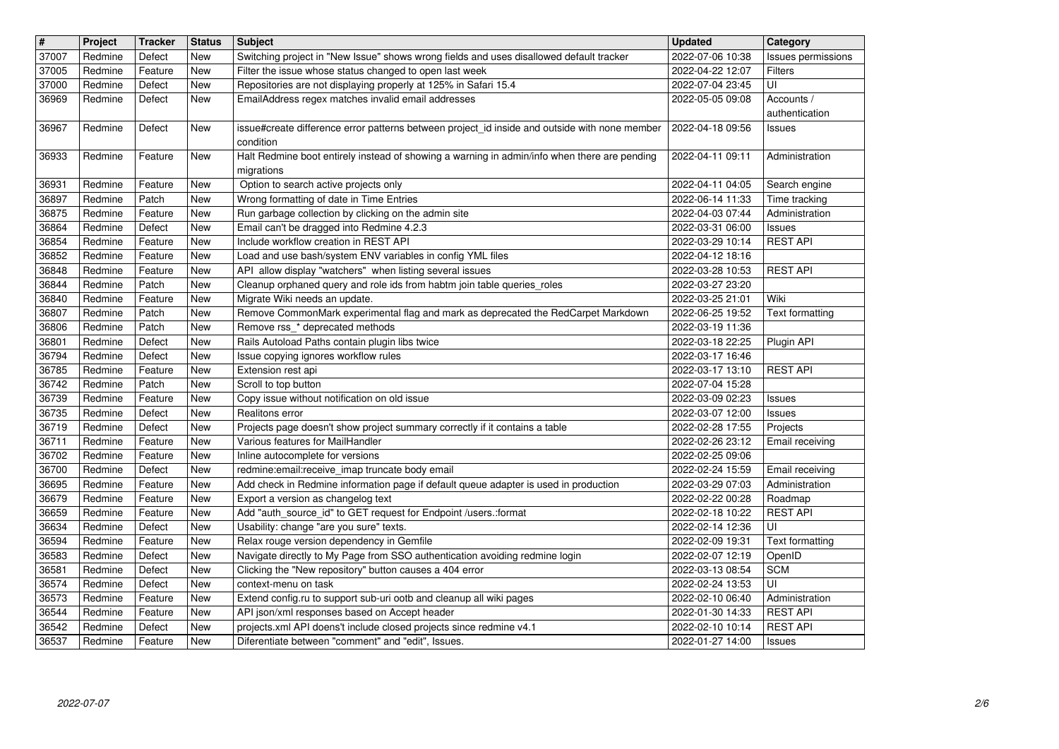| $\vert$ #      | Project            | <b>Tracker</b>    | <b>Status</b> | <b>Subject</b>                                                                                                            | <b>Updated</b>                       | Category                  |
|----------------|--------------------|-------------------|---------------|---------------------------------------------------------------------------------------------------------------------------|--------------------------------------|---------------------------|
| 37007          | Redmine            | Defect            | New           | Switching project in "New Issue" shows wrong fields and uses disallowed default tracker                                   | 2022-07-06 10:38                     | Issues permissions        |
| 37005          | Redmine            | Feature           | <b>New</b>    | Filter the issue whose status changed to open last week                                                                   | 2022-04-22 12:07                     | Filters                   |
| 37000          | Redmine            | Defect            | New           | Repositories are not displaying properly at 125% in Safari 15.4                                                           | 2022-07-04 23:45                     | UI                        |
| 36969          | Redmine            | Defect            | New           | EmailAddress regex matches invalid email addresses                                                                        | 2022-05-05 09:08                     | Accounts /                |
| 36967          | Redmine            | Defect            | New           | issue#create difference error patterns between project_id inside and outside with none member                             | 2022-04-18 09:56                     | authentication<br>Issues  |
| 36933          |                    |                   |               | condition<br>Halt Redmine boot entirely instead of showing a warning in admin/info when there are pending                 | 2022-04-11 09:11                     |                           |
|                | Redmine            | Feature           | New           | migrations                                                                                                                |                                      | Administration            |
|                | Redmine            |                   | New           |                                                                                                                           |                                      |                           |
| 36931          |                    | Feature           |               | Option to search active projects only                                                                                     | 2022-04-11 04:05                     | Search engine             |
| 36897          | Redmine            | Patch             | New           | Wrong formatting of date in Time Entries                                                                                  | 2022-06-14 11:33                     | Time tracking             |
| 36875          | Redmine            | Feature           | <b>New</b>    | Run garbage collection by clicking on the admin site                                                                      | 2022-04-03 07:44                     | Administration            |
| 36864          | Redmine            | Defect            | New           | Email can't be dragged into Redmine 4.2.3                                                                                 | 2022-03-31 06:00                     | Issues                    |
| 36854          | Redmine            | Feature           | New           | Include workflow creation in REST API                                                                                     | 2022-03-29 10:14                     | <b>REST API</b>           |
| 36852          | Redmine            | Feature           | New           | Load and use bash/system ENV variables in config YML files                                                                | 2022-04-12 18:16                     |                           |
| 36848          | Redmine            | Feature           | New           | API allow display "watchers" when listing several issues                                                                  | 2022-03-28 10:53                     | <b>REST API</b>           |
| 36844          | Redmine            | Patch             | New           | Cleanup orphaned query and role ids from habtm join table queries_roles                                                   | 2022-03-27 23:20                     |                           |
| 36840          | Redmine            | Feature           | New           | Migrate Wiki needs an update.                                                                                             | 2022-03-25 21:01                     | Wiki                      |
| 36807          | Redmine            | Patch             | New           | Remove CommonMark experimental flag and mark as deprecated the RedCarpet Markdown                                         | 2022-06-25 19:52                     | Text formatting           |
| 36806          | Redmine            | Patch             | New           | Remove rss_* deprecated methods                                                                                           | 2022-03-19 11:36                     |                           |
| 36801          | Redmine            | Defect            | New           | Rails Autoload Paths contain plugin libs twice                                                                            | 2022-03-18 22:25                     | Plugin API                |
| 36794          | Redmine            | Defect            | <b>New</b>    | Issue copying ignores workflow rules                                                                                      | 2022-03-17 16:46                     |                           |
| 36785          | Redmine            | Feature           | <b>New</b>    | Extension rest api                                                                                                        | 2022-03-17 13:10                     | <b>REST API</b>           |
| 36742          | Redmine            | Patch             | New           | Scroll to top button                                                                                                      | 2022-07-04 15:28                     |                           |
| 36739          | Redmine            | Feature           | New           | Copy issue without notification on old issue                                                                              | 2022-03-09 02:23                     | Issues                    |
|                |                    |                   |               | Realitons error                                                                                                           |                                      |                           |
| 36735          | Redmine            | Defect            | New           |                                                                                                                           | 2022-03-07 12:00                     | <b>Issues</b>             |
| 36719          | Redmine            | Defect            | New           | Projects page doesn't show project summary correctly if it contains a table                                               | 2022-02-28 17:55                     | Projects                  |
| 36711          | Redmine            | Feature           | New           | Various features for MailHandler                                                                                          | 2022-02-26 23:12                     | Email receiving           |
| 36702          | Redmine            | Feature           | New           | Inline autocomplete for versions                                                                                          | 2022-02-25 09:06                     |                           |
| 36700          | Redmine            | Defect            | New           | redmine:email:receive_imap truncate body email                                                                            | 2022-02-24 15:59                     | Email receiving           |
| 36695          | Redmine            | Feature           | New           | Add check in Redmine information page if default queue adapter is used in production                                      | 2022-03-29 07:03                     | Administration            |
| 36679          | Redmine            | Feature           | New           | Export a version as changelog text                                                                                        | 2022-02-22 00:28                     | Roadmap                   |
| 36659          | Redmine            | Feature           | New           | Add "auth_source_id" to GET request for Endpoint /users.:format                                                           | 2022-02-18 10:22                     | <b>REST API</b>           |
| 36634          | Redmine            | Defect            | New           | Usability: change "are you sure" texts.                                                                                   | 2022-02-14 12:36                     | UI                        |
| 36594          | Redmine            | Feature           | New           | Relax rouge version dependency in Gemfile                                                                                 | 2022-02-09 19:31                     | Text formatting           |
| 36583          | Redmine            | Defect            | New           | Navigate directly to My Page from SSO authentication avoiding redmine login                                               | 2022-02-07 12:19                     | OpenID                    |
| 36581          | Redmine            | Defect            | New           | Clicking the "New repository" button causes a 404 error                                                                   | 2022-03-13 08:54                     | <b>SCM</b>                |
| 36574          | Redmine            | Defect            | New           | context-menu on task                                                                                                      | 2022-02-24 13:53                     | UI                        |
| 36573          | Redmine            |                   | New           |                                                                                                                           | 2022-02-10 06:40                     | Administration            |
|                |                    | Feature           |               | Extend config.ru to support sub-uri ootb and cleanup all wiki pages                                                       |                                      |                           |
| 36544          | Redmine            | Feature           | New           | API json/xml responses based on Accept header                                                                             | 2022-01-30 14:33                     | <b>REST API</b>           |
| 36542<br>36537 | Redmine<br>Redmine | Defect<br>Feature | New<br>New    | projects.xml API doens't include closed projects since redmine v4.1<br>Diferentiate between "comment" and "edit", Issues. | 2022-02-10 10:14<br>2022-01-27 14:00 | <b>REST API</b><br>Issues |
|                |                    |                   |               |                                                                                                                           |                                      |                           |
|                |                    |                   |               |                                                                                                                           |                                      |                           |
|                |                    |                   |               |                                                                                                                           |                                      |                           |
|                |                    |                   |               |                                                                                                                           |                                      |                           |
|                |                    |                   |               |                                                                                                                           |                                      |                           |
|                |                    |                   |               |                                                                                                                           |                                      |                           |
|                |                    |                   |               |                                                                                                                           |                                      |                           |
|                |                    |                   |               |                                                                                                                           |                                      |                           |
|                |                    |                   |               |                                                                                                                           |                                      |                           |
|                |                    |                   |               |                                                                                                                           |                                      |                           |
|                |                    |                   |               |                                                                                                                           |                                      |                           |
|                |                    |                   |               |                                                                                                                           |                                      |                           |
|                |                    |                   |               |                                                                                                                           |                                      |                           |
|                |                    |                   |               |                                                                                                                           |                                      |                           |
|                |                    |                   |               |                                                                                                                           |                                      |                           |
|                |                    |                   |               |                                                                                                                           |                                      |                           |
|                |                    |                   |               |                                                                                                                           |                                      |                           |
|                |                    |                   |               |                                                                                                                           |                                      |                           |
|                |                    |                   |               |                                                                                                                           |                                      |                           |
|                |                    |                   |               |                                                                                                                           |                                      |                           |
|                |                    |                   |               |                                                                                                                           |                                      |                           |
|                |                    |                   |               |                                                                                                                           |                                      |                           |
|                |                    |                   |               |                                                                                                                           |                                      |                           |
|                |                    |                   |               |                                                                                                                           |                                      |                           |
|                |                    |                   |               |                                                                                                                           |                                      |                           |
|                |                    |                   |               |                                                                                                                           |                                      |                           |
|                |                    |                   |               |                                                                                                                           |                                      |                           |
|                |                    |                   |               |                                                                                                                           |                                      |                           |
|                |                    |                   |               |                                                                                                                           |                                      |                           |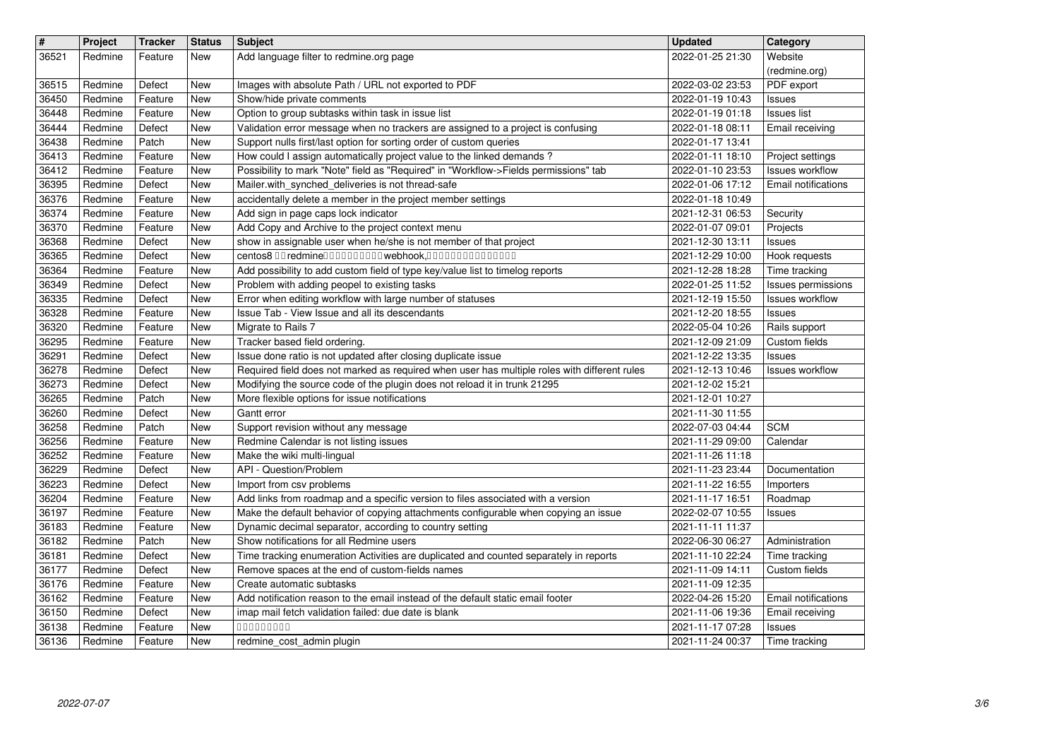| $\overline{\mathbf{H}}$<br>36521 | Project<br>Redmine | <b>Tracker</b><br>Feature | <b>Status</b><br>New | <b>Subject</b><br>Add language filter to redmine.org page                                                                                                               | <b>Updated</b><br>2022-01-25 21:30   | Category<br>Website                          |
|----------------------------------|--------------------|---------------------------|----------------------|-------------------------------------------------------------------------------------------------------------------------------------------------------------------------|--------------------------------------|----------------------------------------------|
|                                  |                    |                           |                      |                                                                                                                                                                         |                                      | (redmine.org)                                |
| 36515<br>36450                   | Redmine<br>Redmine | Defect<br>Feature         | New<br>New           | Images with absolute Path / URL not exported to PDF<br>Show/hide private comments                                                                                       | 2022-03-02 23:53<br>2022-01-19 10:43 | PDF export<br>Issues                         |
| 36448<br>36444                   | Redmine<br>Redmine | Feature<br>Defect         | New<br>New           | Option to group subtasks within task in issue list<br>Validation error message when no trackers are assigned to a project is confusing                                  | 2022-01-19 01:18<br>2022-01-18 08:11 | <b>Issues list</b><br>Email receiving        |
| 36438                            | Redmine            | Patch                     | New                  | Support nulls first/last option for sorting order of custom queries                                                                                                     | 2022-01-17 13:41                     |                                              |
| 36413<br>36412                   | Redmine<br>Redmine | Feature<br>Feature        | New<br>New           | How could I assign automatically project value to the linked demands?<br>Possibility to mark "Note" field as "Required" in "Workflow->Fields permissions" tab           | 2022-01-11 18:10<br>2022-01-10 23:53 | Project settings<br><b>Issues workflow</b>   |
| 36395<br>36376                   | Redmine<br>Redmine | Defect<br>Feature         | New<br>New           | Mailer.with_synched_deliveries is not thread-safe<br>accidentally delete a member in the project member settings                                                        | 2022-01-06 17:12<br>2022-01-18 10:49 | Email notifications                          |
| 36374<br>36370                   | Redmine<br>Redmine | Feature<br>Feature        | New<br>New           | Add sign in page caps lock indicator<br>Add Copy and Archive to the project context menu                                                                                | 2021-12-31 06:53<br>2022-01-07 09:01 | Security<br>Projects                         |
| 36368                            | Redmine            | Defect                    | New                  | show in assignable user when he/she is not member of that project                                                                                                       | 2021-12-30 13:11                     | Issues                                       |
| 36365<br>36364                   | Redmine<br>Redmine | Defect<br>Feature         | New<br>New           | centos8 00 redmine0000000000 webhook,000000000000000<br>Add possibility to add custom field of type key/value list to timelog reports                                   | 2021-12-29 10:00<br>2021-12-28 18:28 | Hook requests<br>Time tracking               |
| 36349<br>36335                   | Redmine<br>Redmine | Defect<br>Defect          | New<br>New           | Problem with adding peopel to existing tasks<br>Error when editing workflow with large number of statuses                                                               | 2022-01-25 11:52<br>2021-12-19 15:50 | Issues permissions<br><b>Issues workflow</b> |
| 36328                            | Redmine            | Feature                   | New                  | Issue Tab - View Issue and all its descendants                                                                                                                          | 2021-12-20 18:55                     | Issues                                       |
| 36320<br>36295                   | Redmine<br>Redmine | Feature<br>Feature        | New<br>New           | Migrate to Rails 7<br>Tracker based field ordering.                                                                                                                     | 2022-05-04 10:26<br>2021-12-09 21:09 | Rails support<br>Custom fields               |
| 36291<br>36278                   | Redmine<br>Redmine | Defect<br>Defect          | New<br><b>New</b>    | Issue done ratio is not updated after closing duplicate issue<br>Required field does not marked as required when user has multiple roles with different rules           | 2021-12-22 13:35<br>2021-12-13 10:46 | Issues<br><b>Issues workflow</b>             |
| 36273                            | Redmine            | Defect                    | <b>New</b>           | Modifying the source code of the plugin does not reload it in trunk 21295                                                                                               | 2021-12-02 15:21                     |                                              |
| 36265<br>36260                   | Redmine<br>Redmine | Patch<br>Defect           | <b>New</b><br>New    | More flexible options for issue notifications<br>Gantt error                                                                                                            | 2021-12-01 10:27<br>2021-11-30 11:55 |                                              |
| 36258<br>36256                   | Redmine<br>Redmine | Patch<br>Feature          | New<br>New           | Support revision without any message<br>Redmine Calendar is not listing issues                                                                                          | 2022-07-03 04:44<br>2021-11-29 09:00 | <b>SCM</b><br>Calendar                       |
| 36252                            | Redmine            | Feature                   | New                  | Make the wiki multi-lingual                                                                                                                                             | 2021-11-26 11:18                     |                                              |
| 36229<br>36223                   | Redmine<br>Redmine | Defect<br>Defect          | New<br>New           | API - Question/Problem<br>Import from csv problems                                                                                                                      | 2021-11-23 23:44<br>2021-11-22 16:55 | Documentation<br>Importers                   |
| 36204<br>36197                   | Redmine<br>Redmine | Feature<br>Feature        | New<br>New           | Add links from roadmap and a specific version to files associated with a version<br>Make the default behavior of copying attachments configurable when copying an issue | 2021-11-17 16:51<br>2022-02-07 10:55 | Roadmap<br>Issues                            |
| 36183                            | Redmine            | Feature                   | New                  | Dynamic decimal separator, according to country setting                                                                                                                 | 2021-11-11 11:37                     |                                              |
| 36182<br>36181                   | Redmine<br>Redmine | Patch<br>Defect           | New<br>New           | Show notifications for all Redmine users<br>Time tracking enumeration Activities are duplicated and counted separately in reports                                       | 2022-06-30 06:27<br>2021-11-10 22:24 | Administration<br>Time tracking              |
| 36177<br>36176                   | Redmine<br>Redmine | Defect<br>Feature         | New<br>New           | Remove spaces at the end of custom-fields names<br>Create automatic subtasks                                                                                            | 2021-11-09 14:11<br>2021-11-09 12:35 | Custom fields                                |
| 36162                            | Redmine            | Feature<br>Defect         | New                  | Add notification reason to the email instead of the default static email footer                                                                                         | 2022-04-26 15:20                     | <b>Email</b> notifications                   |
| 36150<br>36138                   | Redmine<br>Redmine | Feature                   | <b>New</b><br>New    | imap mail fetch validation failed: due date is blank<br>00000000<br>redmine_cost_admin plugin                                                                           | 2021-11-06 19:36<br>2021-11-17 07:28 | Email receiving<br>Issues<br>Time tracking   |
|                                  |                    |                           |                      |                                                                                                                                                                         |                                      |                                              |
|                                  |                    |                           |                      |                                                                                                                                                                         |                                      |                                              |
|                                  |                    |                           |                      |                                                                                                                                                                         |                                      |                                              |
|                                  |                    |                           |                      |                                                                                                                                                                         |                                      |                                              |
|                                  |                    |                           |                      |                                                                                                                                                                         |                                      |                                              |
|                                  |                    |                           |                      |                                                                                                                                                                         |                                      |                                              |
|                                  |                    |                           |                      |                                                                                                                                                                         |                                      |                                              |
|                                  |                    |                           |                      |                                                                                                                                                                         |                                      |                                              |
|                                  |                    |                           |                      |                                                                                                                                                                         |                                      |                                              |
|                                  |                    |                           |                      |                                                                                                                                                                         |                                      |                                              |
|                                  |                    |                           |                      |                                                                                                                                                                         |                                      |                                              |
|                                  |                    |                           |                      |                                                                                                                                                                         |                                      |                                              |
|                                  |                    |                           |                      |                                                                                                                                                                         |                                      |                                              |
|                                  |                    |                           |                      |                                                                                                                                                                         |                                      |                                              |
|                                  |                    |                           |                      |                                                                                                                                                                         |                                      |                                              |
|                                  |                    |                           |                      |                                                                                                                                                                         |                                      |                                              |
|                                  |                    |                           |                      |                                                                                                                                                                         |                                      |                                              |
|                                  |                    |                           |                      |                                                                                                                                                                         |                                      |                                              |
|                                  |                    |                           |                      |                                                                                                                                                                         |                                      |                                              |
|                                  |                    |                           |                      |                                                                                                                                                                         |                                      |                                              |
|                                  |                    |                           |                      |                                                                                                                                                                         |                                      |                                              |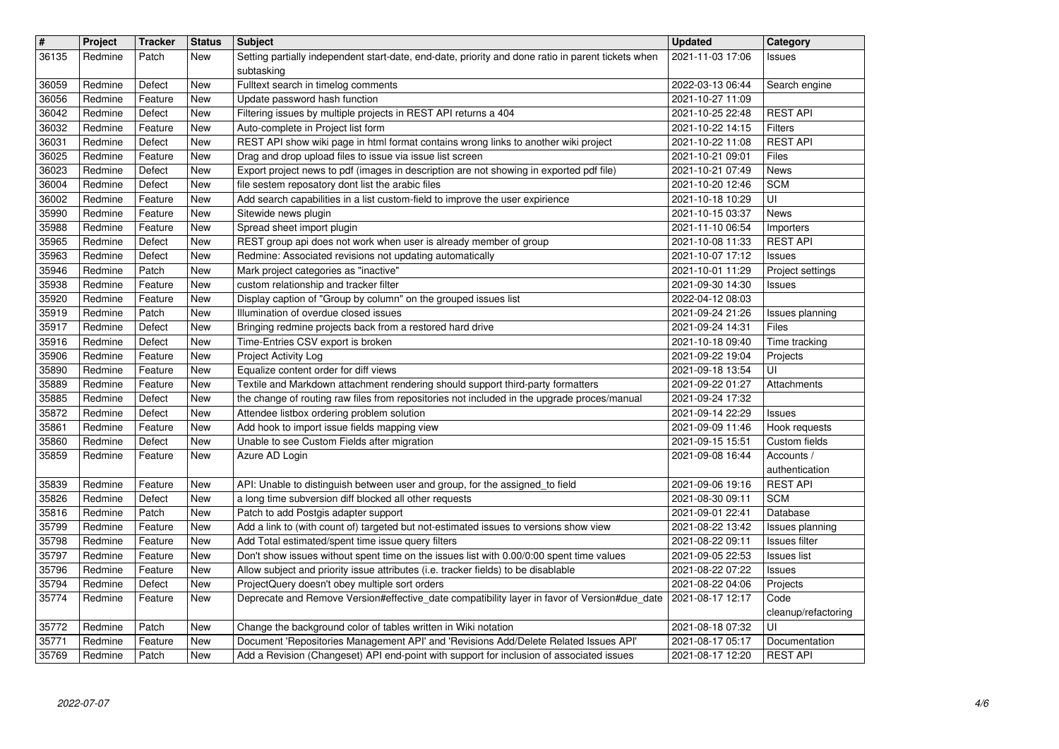| $\vert$ #      | Project            | <b>Tracker</b>     | <b>Status</b>     | <b>Subject</b>                                                                                                                                                                 | <b>Updated</b>                       | Category                    |
|----------------|--------------------|--------------------|-------------------|--------------------------------------------------------------------------------------------------------------------------------------------------------------------------------|--------------------------------------|-----------------------------|
| 36135          | Redmine            | Patch              | New               | Setting partially independent start-date, end-date, priority and done ratio in parent tickets when                                                                             | 2021-11-03 17:06                     | Issues                      |
| 36059          | Redmine            | Defect             | <b>New</b>        | subtasking<br>Fulltext search in timelog comments                                                                                                                              | 2022-03-13 06:44                     | Search engine               |
| 36056          | Redmine            | Feature            | New               | Update password hash function                                                                                                                                                  | 2021-10-27 11:09                     |                             |
| 36042          | Redmine            | Defect             | New               | Filtering issues by multiple projects in REST API returns a 404                                                                                                                | 2021-10-25 22:48                     | <b>REST API</b>             |
| 36032          | Redmine            | Feature            | New               | Auto-complete in Project list form                                                                                                                                             | 2021-10-22 14:15                     | <b>Filters</b>              |
| 36031<br>36025 | Redmine<br>Redmine | Defect<br>Feature  | New<br>New        | REST API show wiki page in html format contains wrong links to another wiki project<br>Drag and drop upload files to issue via issue list screen                               | 2021-10-22 11:08<br>2021-10-21 09:01 | <b>REST API</b><br>Files    |
| 36023          | Redmine            | Defect             | New               | Export project news to pdf (images in description are not showing in exported pdf file)                                                                                        | 2021-10-21 07:49                     | <b>News</b>                 |
| 36004          | Redmine            | Defect             | New               | file sestem reposatory dont list the arabic files                                                                                                                              | 2021-10-20 12:46                     | <b>SCM</b>                  |
| 36002<br>35990 | Redmine<br>Redmine | Feature<br>Feature | New<br>New        | Add search capabilities in a list custom-field to improve the user expirience<br>Sitewide news plugin                                                                          | 2021-10-18 10:29<br>2021-10-15 03:37 | UI<br><b>News</b>           |
| 35988          | Redmine            | Feature            | New               | Spread sheet import plugin                                                                                                                                                     | 2021-11-10 06:54                     | Importers                   |
| 35965          | Redmine            | Defect             | New               | REST group api does not work when user is already member of group                                                                                                              | 2021-10-08 11:33                     | <b>REST API</b>             |
| 35963<br>35946 | Redmine<br>Redmine | Defect<br>Patch    | New<br>New        | Redmine: Associated revisions not updating automatically<br>Mark project categories as "inactive"                                                                              | 2021-10-07 17:12<br>2021-10-01 11:29 | Issues<br>Project settings  |
| 35938          | Redmine            | Feature            | New               | custom relationship and tracker filter                                                                                                                                         | 2021-09-30 14:30                     | Issues                      |
| 35920          | Redmine            | Feature            | New               | Display caption of "Group by column" on the grouped issues list                                                                                                                | 2022-04-12 08:03                     |                             |
| 35919          | Redmine            | Patch              | New               | Illumination of overdue closed issues                                                                                                                                          | 2021-09-24 21:26                     | Issues planning<br>Files    |
| 35917<br>35916 | Redmine<br>Redmine | Defect<br>Defect   | <b>New</b><br>New | Bringing redmine projects back from a restored hard drive<br>Time-Entries CSV export is broken                                                                                 | 2021-09-24 14:31<br>2021-10-18 09:40 | Time tracking               |
| 35906          | Redmine            | Feature            | New               | Project Activity Log                                                                                                                                                           | 2021-09-22 19:04                     | Projects                    |
| 35890          | Redmine            | Feature            | New               | Equalize content order for diff views                                                                                                                                          | 2021-09-18 13:54                     | UI                          |
| 35889<br>35885 | Redmine<br>Redmine | Feature<br>Defect  | New<br>New        | Textile and Markdown attachment rendering should support third-party formatters<br>the change of routing raw files from repositories not included in the upgrade proces/manual | 2021-09-22 01:27<br>2021-09-24 17:32 | Attachments                 |
| 35872          | Redmine            | Defect             | New               | Attendee listbox ordering problem solution                                                                                                                                     | 2021-09-14 22:29                     | Issues                      |
| 35861          | Redmine            | Feature            | New               | Add hook to import issue fields mapping view                                                                                                                                   | 2021-09-09 11:46                     | Hook requests               |
| 35860<br>35859 | Redmine<br>Redmine | Defect<br>Feature  | New<br>New        | Unable to see Custom Fields after migration<br>Azure AD Login                                                                                                                  | 2021-09-15 15:51<br>2021-09-08 16:44 | Custom fields<br>Accounts / |
|                |                    |                    |                   |                                                                                                                                                                                |                                      | authentication              |
| 35839          | Redmine            | Feature            | <b>New</b>        | API: Unable to distinguish between user and group, for the assigned_to field                                                                                                   | 2021-09-06 19:16                     | <b>REST API</b>             |
| 35826<br>35816 | Redmine<br>Redmine | Defect<br>Patch    | New<br>New        | a long time subversion diff blocked all other requests<br>Patch to add Postgis adapter support                                                                                 | 2021-08-30 09:11<br>2021-09-01 22:41 | <b>SCM</b><br>Database      |
| 35799          | Redmine            | Feature            | New               | Add a link to (with count of) targeted but not-estimated issues to versions show view                                                                                          | 2021-08-22 13:42                     | Issues planning             |
| 35798          | Redmine            | Feature            | New               | Add Total estimated/spent time issue query filters                                                                                                                             | 2021-08-22 09:11                     | Issues filter               |
| 35797          | Redmine            | Feature            | New               | Don't show issues without spent time on the issues list with 0.00/0:00 spent time values                                                                                       | 2021-09-05 22:53                     | <b>Issues list</b>          |
| 35796<br>35794 | Redmine<br>Redmine | Feature<br>Defect  | New<br>New        | Allow subject and priority issue attributes (i.e. tracker fields) to be disablable<br>ProjectQuery doesn't obey multiple sort orders                                           | 2021-08-22 07:22<br>2021-08-22 04:06 | Issues<br>Projects          |
| 35774          | Redmine            | Feature            | New               | Deprecate and Remove Version#effective_date compatibility layer in favor of Version#due_date 2021-08-17 12:17                                                                  |                                      | Code                        |
| 35772          | Redmine            | Patch              | New               | Change the background color of tables written in Wiki notation                                                                                                                 | 2021-08-18 07:32                     | cleanup/refactoring<br>UI   |
| 35771          | Redmine            | Feature            | New               | Document 'Repositories Management API' and 'Revisions Add/Delete Related Issues API'                                                                                           | 2021-08-17 05:17                     | Documentation               |
| 35769          | Redmine            | Patch              | New               | Add a Revision (Changeset) API end-point with support for inclusion of associated issues                                                                                       | 2021-08-17 12:20                     | <b>REST API</b>             |
|                |                    |                    |                   |                                                                                                                                                                                |                                      |                             |
|                |                    |                    |                   |                                                                                                                                                                                |                                      |                             |
|                |                    |                    |                   |                                                                                                                                                                                |                                      |                             |
|                |                    |                    |                   |                                                                                                                                                                                |                                      |                             |
|                |                    |                    |                   |                                                                                                                                                                                |                                      |                             |
|                |                    |                    |                   |                                                                                                                                                                                |                                      |                             |
|                |                    |                    |                   |                                                                                                                                                                                |                                      |                             |
|                |                    |                    |                   |                                                                                                                                                                                |                                      |                             |
|                |                    |                    |                   |                                                                                                                                                                                |                                      |                             |
|                |                    |                    |                   |                                                                                                                                                                                |                                      |                             |
|                |                    |                    |                   |                                                                                                                                                                                |                                      |                             |
|                |                    |                    |                   |                                                                                                                                                                                |                                      |                             |
|                |                    |                    |                   |                                                                                                                                                                                |                                      |                             |
|                |                    |                    |                   |                                                                                                                                                                                |                                      |                             |
|                |                    |                    |                   |                                                                                                                                                                                |                                      |                             |
|                |                    |                    |                   |                                                                                                                                                                                |                                      |                             |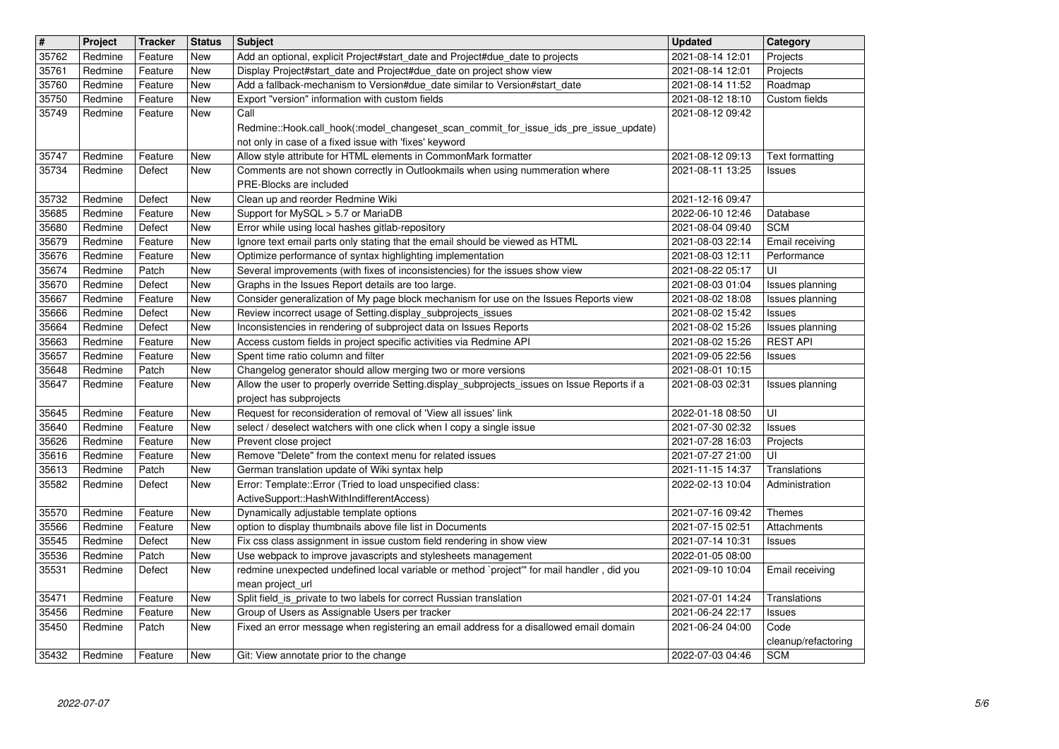| $\overline{\mathbf{H}}$ | Project            | <b>Tracker</b>     | <b>Status</b> | <b>Subject</b>                                                                                                            | <b>Updated</b>                       | Category                          |
|-------------------------|--------------------|--------------------|---------------|---------------------------------------------------------------------------------------------------------------------------|--------------------------------------|-----------------------------------|
| 35762                   | Redmine            | Feature            | New           | Add an optional, explicit Project#start_date and Project#due_date to projects                                             | 2021-08-14 12:01                     | Projects                          |
| 35761                   | Redmine            | Feature            | New           | Display Project#start_date and Project#due_date on project show view                                                      | 2021-08-14 12:01                     | Projects                          |
| 35760                   | Redmine            | Feature            | New           | Add a fallback-mechanism to Version#due_date similar to Version#start_date                                                | 2021-08-14 11:52                     | Roadmap                           |
| 35750                   | Redmine            | Feature            | New           | Export "version" information with custom fields                                                                           | 2021-08-12 18:10                     | Custom fields                     |
| 35749                   | Redmine            | Feature            | New           | Call<br>Redmine::Hook.call_hook(:model_changeset_scan_commit_for_issue_ids_pre_issue_update)                              | 2021-08-12 09:42                     |                                   |
| 35747                   | Redmine            | Feature            | New           | not only in case of a fixed issue with 'fixes' keyword<br>Allow style attribute for HTML elements in CommonMark formatter | 2021-08-12 09:13                     | Text formatting                   |
| 35734                   | Redmine            | Defect             | New           | Comments are not shown correctly in Outlookmails when using nummeration where                                             | 2021-08-11 13:25                     | Issues                            |
|                         |                    |                    |               | PRE-Blocks are included                                                                                                   |                                      |                                   |
| 35732                   | Redmine            | Defect             | <b>New</b>    | Clean up and reorder Redmine Wiki                                                                                         | 2021-12-16 09:47                     |                                   |
| 35685                   | Redmine            | Feature            | <b>New</b>    | Support for MySQL > 5.7 or MariaDB                                                                                        | 2022-06-10 12:46                     | Database                          |
| 35680                   | Redmine            | Defect             | New           | Error while using local hashes gitlab-repository                                                                          | 2021-08-04 09:40                     | <b>SCM</b>                        |
| 35679                   | Redmine            | Feature            | New           | Ignore text email parts only stating that the email should be viewed as HTML                                              | 2021-08-03 22:14                     | Email receiving                   |
| 35676                   | Redmine            | Feature            | New           | Optimize performance of syntax highlighting implementation                                                                | 2021-08-03 12:11                     | Performance                       |
| 35674                   | Redmine            | Patch              | New           | Several improvements (with fixes of inconsistencies) for the issues show view                                             | 2021-08-22 05:17                     | UI                                |
| 35670                   | Redmine            | Defect             | New           | Graphs in the Issues Report details are too large.                                                                        | 2021-08-03 01:04                     | Issues planning                   |
| 35667                   | Redmine            | Feature            | New           | Consider generalization of My page block mechanism for use on the Issues Reports view                                     | 2021-08-02 18:08                     | Issues planning                   |
| 35666                   | Redmine            | Defect             | New           | Review incorrect usage of Setting.display_subprojects_issues                                                              | 2021-08-02 15:42                     | <b>Issues</b>                     |
| 35664                   | Redmine            | Defect             | <b>New</b>    | Inconsistencies in rendering of subproject data on Issues Reports                                                         | 2021-08-02 15:26                     | Issues planning                   |
| 35663<br>35657          | Redmine<br>Redmine | Feature<br>Feature | New<br>New    | Access custom fields in project specific activities via Redmine API<br>Spent time ratio column and filter                 | 2021-08-02 15:26                     | <b>REST API</b>                   |
| 35648                   | Redmine            | Patch              | New           | Changelog generator should allow merging two or more versions                                                             | 2021-09-05 22:56<br>2021-08-01 10:15 | <b>Issues</b>                     |
| 35647                   | Redmine            | Feature            | New           | Allow the user to properly override Setting.display_subprojects_issues on Issue Reports if a                              | 2021-08-03 02:31                     | Issues planning                   |
|                         |                    |                    |               | project has subprojects                                                                                                   |                                      |                                   |
| 35645                   | Redmine            | Feature            | New           | Request for reconsideration of removal of 'View all issues' link                                                          | 2022-01-18 08:50                     | UI                                |
| 35640                   | Redmine            | Feature            | New           | select / deselect watchers with one click when I copy a single issue                                                      | 2021-07-30 02:32                     | <b>Issues</b>                     |
| 35626                   | Redmine            | Feature            | New           | Prevent close project                                                                                                     | 2021-07-28 16:03                     | Projects                          |
| 35616                   | Redmine            | Feature            | New           | Remove "Delete" from the context menu for related issues                                                                  | 2021-07-27 21:00                     | UI                                |
| 35613                   | Redmine            | Patch              | New           | German translation update of Wiki syntax help                                                                             | 2021-11-15 14:37                     | Translations                      |
| 35582                   | Redmine            | Defect             | New           | Error: Template::Error (Tried to load unspecified class:                                                                  | 2022-02-13 10:04                     | Administration                    |
|                         |                    |                    |               | ActiveSupport::HashWithIndifferentAccess)                                                                                 |                                      |                                   |
| 35570                   | Redmine            | Feature            | New           | Dynamically adjustable template options                                                                                   | 2021-07-16 09:42                     | Themes                            |
| 35566                   | Redmine            | Feature            | New           | option to display thumbnails above file list in Documents                                                                 | 2021-07-15 02:51                     | Attachments                       |
| 35545                   | Redmine            | Defect             | New           | Fix css class assignment in issue custom field rendering in show view                                                     | 2021-07-14 10:31                     | <b>Issues</b>                     |
| 35536                   | Redmine            | Patch              | New           | Use webpack to improve javascripts and stylesheets management                                                             | 2022-01-05 08:00                     |                                   |
| 35531                   | Redmine            | Defect             | New           | redmine unexpected undefined local variable or method `project" for mail handler, did you                                 | 2021-09-10 10:04                     | Email receiving                   |
|                         |                    |                    |               | mean project_url                                                                                                          |                                      |                                   |
|                         | 35471 Redmine      | Feature            | New           | Split field_is_private to two labels for correct Russian translation                                                      | 2021-07-01 14:24                     | Translations                      |
| 35456                   | Redmine            | Feature            | New           | Group of Users as Assignable Users per tracker                                                                            | 2021-06-24 22:17                     | <b>Issues</b>                     |
| 35450                   | Redmine            | Patch              | New           | Fixed an error message when registering an email address for a disallowed email domain                                    | 2021-06-24 04:00                     | Code                              |
| 35432                   | Redmine            | Feature            | New           | Git: View annotate prior to the change                                                                                    | 2022-07-03 04:46                     | cleanup/refactoring<br><b>SCM</b> |
|                         |                    |                    |               |                                                                                                                           |                                      |                                   |
|                         |                    |                    |               |                                                                                                                           |                                      |                                   |
|                         |                    |                    |               |                                                                                                                           |                                      |                                   |
|                         |                    |                    |               |                                                                                                                           |                                      |                                   |
|                         |                    |                    |               |                                                                                                                           |                                      |                                   |
|                         |                    |                    |               |                                                                                                                           |                                      |                                   |
|                         |                    |                    |               |                                                                                                                           |                                      |                                   |
|                         |                    |                    |               |                                                                                                                           |                                      |                                   |
|                         |                    |                    |               |                                                                                                                           |                                      |                                   |
|                         |                    |                    |               |                                                                                                                           |                                      |                                   |
|                         |                    |                    |               |                                                                                                                           |                                      |                                   |
|                         |                    |                    |               |                                                                                                                           |                                      |                                   |
|                         |                    |                    |               |                                                                                                                           |                                      |                                   |
|                         |                    |                    |               |                                                                                                                           |                                      |                                   |
|                         |                    |                    |               |                                                                                                                           |                                      |                                   |
|                         |                    |                    |               |                                                                                                                           |                                      |                                   |
|                         |                    |                    |               |                                                                                                                           |                                      |                                   |
|                         |                    |                    |               |                                                                                                                           |                                      |                                   |
|                         |                    |                    |               |                                                                                                                           |                                      |                                   |